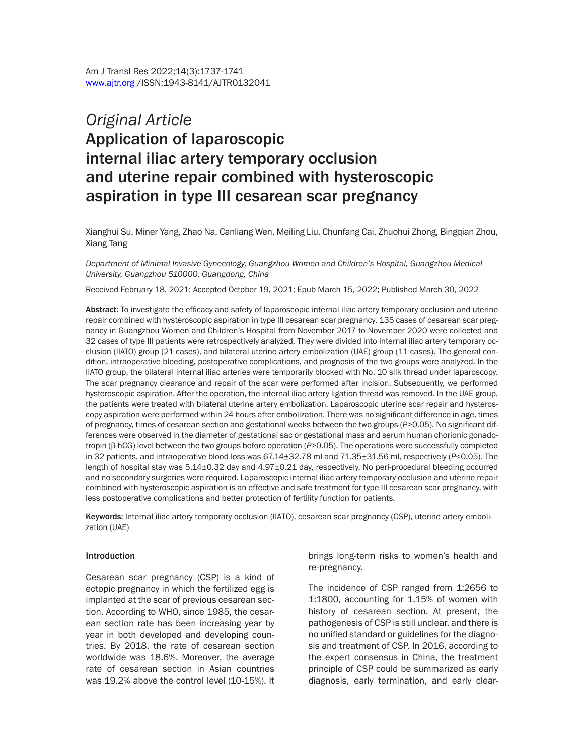# *Original Article* Application of laparoscopic internal iliac artery temporary occlusion and uterine repair combined with hysteroscopic aspiration in type III cesarean scar pregnancy

Xianghui Su, Miner Yang, Zhao Na, Canliang Wen, Meiling Liu, Chunfang Cai, Zhuohui Zhong, Bingqian Zhou, Xiang Tang

*Department of Minimal Invasive Gynecology, Guangzhou Women and Children's Hospital, Guangzhou Medical University, Guangzhou 510000, Guangdong, China*

Received February 18, 2021; Accepted October 19, 2021; Epub March 15, 2022; Published March 30, 2022

Abstract: To investigate the efficacy and safety of laparoscopic internal iliac artery temporary occlusion and uterine repair combined with hysteroscopic aspiration in type III cesarean scar pregnancy. 135 cases of cesarean scar pregnancy in Guangzhou Women and Children's Hospital from November 2017 to November 2020 were collected and 32 cases of type III patients were retrospectively analyzed. They were divided into internal iliac artery temporary occlusion (IIATO) group (21 cases), and bilateral uterine artery embolization (UAE) group (11 cases). The general condition, intraoperative bleeding, postoperative complications, and prognosis of the two groups were analyzed. In the IIATO group, the bilateral internal iliac arteries were temporarily blocked with No. 10 silk thread under laparoscopy. The scar pregnancy clearance and repair of the scar were performed after incision. Subsequently, we performed hysteroscopic aspiration. After the operation, the internal iliac artery ligation thread was removed. In the UAE group, the patients were treated with bilateral uterine artery embolization. Laparoscopic uterine scar repair and hysteroscopy aspiration were performed within 24 hours after embolization. There was no significant difference in age, times of pregnancy, times of cesarean section and gestational weeks between the two groups (*P*>0.05). No significant differences were observed in the diameter of gestational sac or gestational mass and serum human chorionic gonadotropin (β-hCG) level between the two groups before operation (*P*>0.05). The operations were successfully completed in 32 patients, and intraoperative blood loss was 67.14±32.78 ml and 71.35±31.56 ml, respectively (*P*<0.05). The length of hospital stay was 5.14±0.32 day and 4.97±0.21 day, respectively. No peri-procedural bleeding occurred and no secondary surgeries were required. Laparoscopic internal iliac artery temporary occlusion and uterine repair combined with hysteroscopic aspiration is an effective and safe treatment for type III cesarean scar pregnancy, with less postoperative complications and better protection of fertility function for patients.

Keywords: Internal iliac artery temporary occlusion (IIATO), cesarean scar pregnancy (CSP), uterine artery embolization (UAE)

#### Introduction

Cesarean scar pregnancy (CSP) is a kind of ectopic pregnancy in which the fertilized egg is implanted at the scar of previous cesarean section. According to WHO, since 1985, the cesarean section rate has been increasing year by year in both developed and developing countries. By 2018, the rate of cesarean section worldwide was 18.6%. Moreover, the average rate of cesarean section in Asian countries was 19.2% above the control level (10-15%). It

brings long-term risks to women's health and re-pregnancy.

The incidence of CSP ranged from 1:2656 to 1:1800, accounting for 1.15% of women with history of cesarean section. At present, the pathogenesis of CSP is still unclear, and there is no unified standard or guidelines for the diagnosis and treatment of CSP. In 2016, according to the expert consensus in China, the treatment principle of CSP could be summarized as early diagnosis, early termination, and early clear-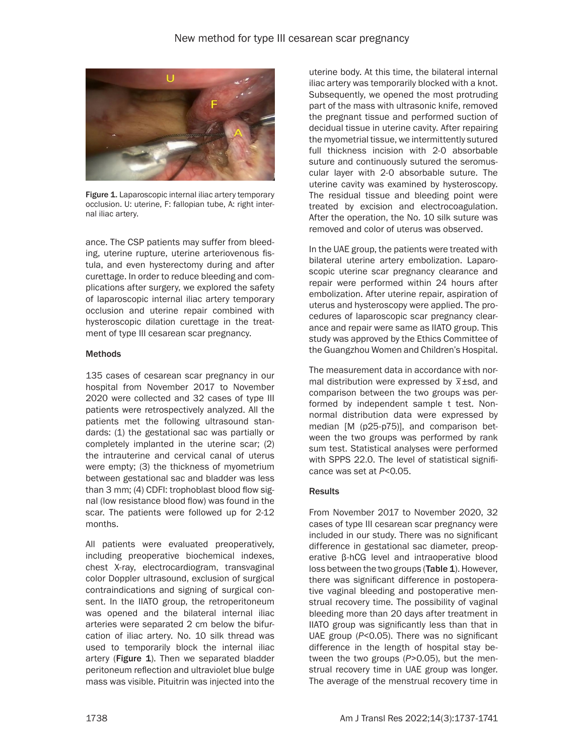

Figure 1. Laparoscopic internal iliac artery temporary occlusion. U: uterine, F: fallopian tube, A: right internal iliac artery.

ance. The CSP patients may suffer from bleeding, uterine rupture, uterine arteriovenous fistula, and even hysterectomy during and after curettage. In order to reduce bleeding and complications after surgery, we explored the safety of laparoscopic internal iliac artery temporary occlusion and uterine repair combined with hysteroscopic dilation curettage in the treatment of type III cesarean scar pregnancy.

### **Methods**

135 cases of cesarean scar pregnancy in our hospital from November 2017 to November 2020 were collected and 32 cases of type III patients were retrospectively analyzed. All the patients met the following ultrasound standards: (1) the gestational sac was partially or completely implanted in the uterine scar; (2) the intrauterine and cervical canal of uterus were empty; (3) the thickness of myometrium between gestational sac and bladder was less than 3 mm; (4) CDFI: trophoblast blood flow signal (low resistance blood flow) was found in the scar. The patients were followed up for 2-12 months.

All patients were evaluated preoperatively, including preoperative biochemical indexes, chest X-ray, electrocardiogram, transvaginal color Doppler ultrasound, exclusion of surgical contraindications and signing of surgical consent. In the IIATO group, the retroperitoneum was opened and the bilateral internal iliac arteries were separated 2 cm below the bifurcation of iliac artery. No. 10 silk thread was used to temporarily block the internal iliac artery (Figure 1). Then we separated bladder peritoneum reflection and ultraviolet blue bulge mass was visible. Pituitrin was injected into the

uterine body. At this time, the bilateral internal iliac artery was temporarily blocked with a knot. Subsequently, we opened the most protruding part of the mass with ultrasonic knife, removed the pregnant tissue and performed suction of decidual tissue in uterine cavity. After repairing the myometrial tissue, we intermittently sutured full thickness incision with 2-0 absorbable suture and continuously sutured the seromuscular layer with 2-0 absorbable suture. The uterine cavity was examined by hysteroscopy. The residual tissue and bleeding point were treated by excision and electrocoagulation. After the operation, the No. 10 silk suture was removed and color of uterus was observed.

In the UAE group, the patients were treated with bilateral uterine artery embolization. Laparoscopic uterine scar pregnancy clearance and repair were performed within 24 hours after embolization. After uterine repair, aspiration of uterus and hysteroscopy were applied. The procedures of laparoscopic scar pregnancy clearance and repair were same as IIATO group. This study was approved by the Ethics Committee of the Guangzhou Women and Children's Hospital.

The measurement data in accordance with norme measurement data in accordance with nor-<br>mal distribution were expressed by  $\bar{x}$ ±sd, and comparison between the two groups was performed by independent sample t test. Nonnormal distribution data were expressed by median [M (p25-p75)], and comparison between the two groups was performed by rank sum test. Statistical analyses were performed with SPPS 22.0. The level of statistical significance was set at *P*<0*.*05.

### **Results**

From November 2017 to November 2020, 32 cases of type III cesarean scar pregnancy were included in our study. There was no significant difference in gestational sac diameter, preoperative β-hCG level and intraoperative blood loss between the two groups (Table 1). However, there was significant difference in postoperative vaginal bleeding and postoperative menstrual recovery time. The possibility of vaginal bleeding more than 20 days after treatment in IIATO group was significantly less than that in UAE group (*P*<0.05). There was no significant difference in the length of hospital stay between the two groups (*P*>0.05), but the menstrual recovery time in UAE group was longer. The average of the menstrual recovery time in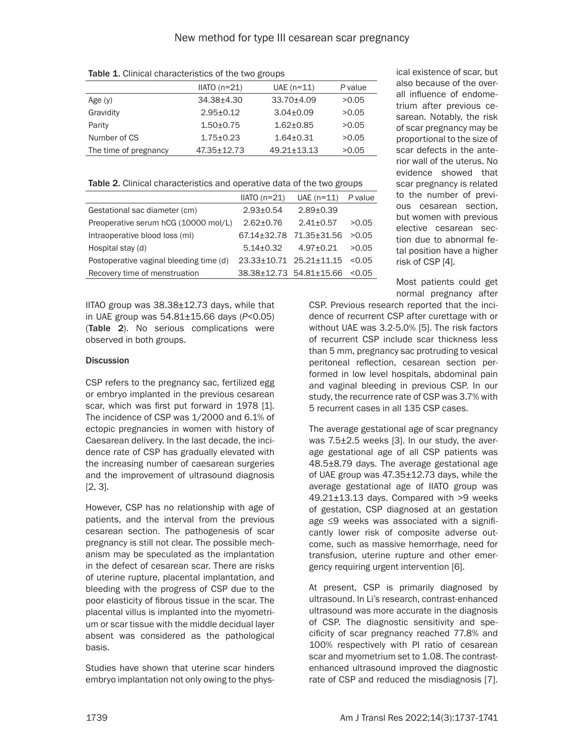Table 1. Clinical characteristics of the two groups

|                       | $IIATO(n=21)$   | $UAE$ (n=11)      | P value |
|-----------------------|-----------------|-------------------|---------|
| Age $(y)$             | $34.38 + 4.30$  | 33.70±4.09        | >0.05   |
| Gravidity             | $2.95 + 0.12$   | $3.04 + 0.09$     | >0.05   |
| Parity                | $1.50 + 0.75$   | $1.62 + 0.85$     | >0.05   |
| Number of CS          | $1.75 \pm 0.23$ | $1.64 + 0.31$     | >0.05   |
| The time of pregnancy | 47.35±12.73     | $49.21 \pm 13.13$ | >0.05   |

Table 2. Clinical characteristics and operative data of the two groups

|                                         | $IIATO (n=21)$          | $UAE(n=11)$             | P value |
|-----------------------------------------|-------------------------|-------------------------|---------|
| Gestational sac diameter (cm)           | $2.93 \pm 0.54$         | $2.89 + 0.39$           |         |
| Preoperative serum hCG (10000 mol/L)    | $2.62 + 0.76$           | $2.41 + 0.57$           | >0.05   |
| Intraoperative blood loss (ml)          | 67.14±32.78             | 71.35±31.56             | >0.05   |
| Hospital stay (d)                       | $5.14 \pm 0.32$         | $4.97 \pm 0.21$         | >0.05   |
| Postoperative vaginal bleeding time (d) | 23.33±10.71 25.21±11.15 |                         | < 0.05  |
| Recovery time of menstruation           |                         | 38.38±12.73 54.81±15.66 | < 0.05  |
|                                         |                         |                         |         |

IITAO group was 38.38±12.73 days, while that in UAE group was 54.81±15.66 days (*P*<0.05) (Table 2). No serious complications were observed in both groups.

# **Discussion**

CSP refers to the pregnancy sac, fertilized egg or embryo implanted in the previous cesarean scar, which was first put forward in 1978 [1]. The incidence of CSP was 1/2000 and 6.1% of ectopic pregnancies in women with history of Caesarean delivery. In the last decade, the incidence rate of CSP has gradually elevated with the increasing number of caesarean surgeries and the improvement of ultrasound diagnosis [2, 3].

However, CSP has no relationship with age of patients, and the interval from the previous cesarean section. The pathogenesis of scar pregnancy is still not clear. The possible mechanism may be speculated as the implantation in the defect of cesarean scar. There are risks of uterine rupture, placental implantation, and bleeding with the progress of CSP due to the poor elasticity of fibrous tissue in the scar. The placental villus is implanted into the myometrium or scar tissue with the middle decidual layer absent was considered as the pathological basis.

Studies have shown that uterine scar hinders embryo implantation not only owing to the physical existence of scar, but also because of the overall influence of endometrium after previous cesarean. Notably, the risk of scar pregnancy may be proportional to the size of scar defects in the anterior wall of the uterus. No evidence showed that scar pregnancy is related to the number of previous cesarean section, but women with previous elective cesarean section due to abnormal fetal position have a higher risk of CSP [4].

Most patients could get normal pregnancy after

CSP. Previous research reported that the incidence of recurrent CSP after curettage with or without UAE was 3.2-5.0% [5]. The risk factors of recurrent CSP include scar thickness less than 5 mm, pregnancy sac protruding to vesical peritoneal reflection, cesarean section performed in low level hospitals, abdominal pain and vaginal bleeding in previous CSP. In our study, the recurrence rate of CSP was 3.7% with 5 recurrent cases in all 135 CSP cases.

The average gestational age of scar pregnancy was 7.5±2.5 weeks [3]. In our study, the average gestational age of all CSP patients was 48.5±8.79 days. The average gestational age of UAE group was 47.35±12.73 days, while the average gestational age of IIATO group was 49.21±13.13 days. Compared with >9 weeks of gestation, CSP diagnosed at an gestation age ≤9 weeks was associated with a significantly lower risk of composite adverse outcome, such as massive hemorrhage, need for transfusion, uterine rupture and other emergency requiring urgent intervention [6].

At present, CSP is primarily diagnosed by ultrasound. In Li's research, contrast-enhanced ultrasound was more accurate in the diagnosis of CSP. The diagnostic sensitivity and specificity of scar pregnancy reached 77.8% and 100% respectively with PI ratio of cesarean scar and myometrium set to 1.08. The contrastenhanced ultrasound improved the diagnostic rate of CSP and reduced the misdiagnosis [7].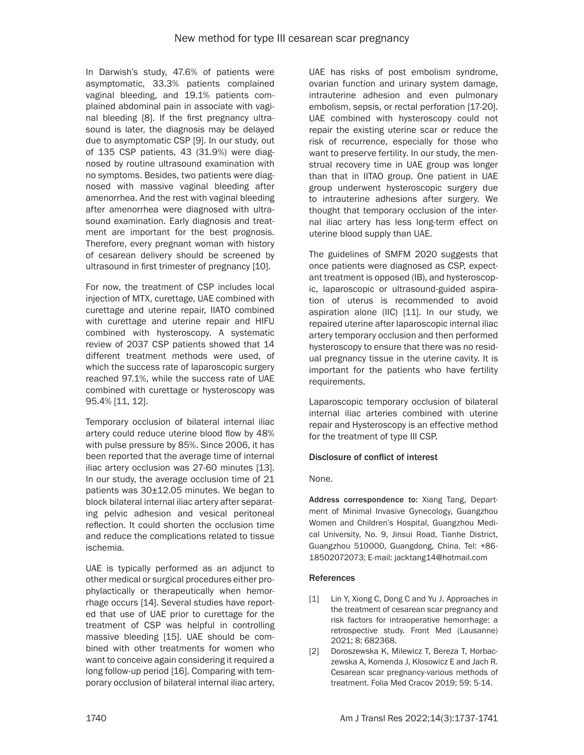In Darwish's study, 47.6% of patients were asymptomatic, 33.3% patients complained vaginal bleeding, and 19.1% patients complained abdominal pain in associate with vaginal bleeding [8]. If the first pregnancy ultrasound is later, the diagnosis may be delayed due to asymptomatic CSP [9]. In our study, out of 135 CSP patients, 43 (31.9%) were diagnosed by routine ultrasound examination with no symptoms. Besides, two patients were diagnosed with massive vaginal bleeding after amenorrhea. And the rest with vaginal bleeding after amenorrhea were diagnosed with ultrasound examination. Early diagnosis and treatment are important for the best prognosis. Therefore, every pregnant woman with history of cesarean delivery should be screened by ultrasound in first trimester of pregnancy [10].

For now, the treatment of CSP includes local injection of MTX, curettage, UAE combined with curettage and uterine repair, IIATO combined with curettage and uterine repair and HIFU combined with hysteroscopy. A systematic review of 2037 CSP patients showed that 14 different treatment methods were used, of which the success rate of laparoscopic surgery reached 97.1%, while the success rate of UAE combined with curettage or hysteroscopy was 95.4% [11, 12].

Temporary occlusion of bilateral internal iliac artery could reduce uterine blood flow by 48% with pulse pressure by 85%. Since 2006, it has been reported that the average time of internal iliac artery occlusion was 27-60 minutes [13]. In our study, the average occlusion time of 21 patients was 30±12.05 minutes. We began to block bilateral internal iliac artery after separating pelvic adhesion and vesical peritoneal reflection. It could shorten the occlusion time and reduce the complications related to tissue ischemia.

UAE is typically performed as an adjunct to other medical or surgical procedures either prophylactically or therapeutically when hemorrhage occurs [14]. Several studies have reported that use of UAE prior to curettage for the treatment of CSP was helpful in controlling massive bleeding [15]. UAE should be combined with other treatments for women who want to conceive again considering it required a long follow-up period [16]. Comparing with temporary occlusion of bilateral internal iliac artery,

UAE has risks of post embolism syndrome, ovarian function and urinary system damage, intrauterine adhesion and even pulmonary embolism, sepsis, or rectal perforation [17-20]. UAE combined with hysteroscopy could not repair the existing uterine scar or reduce the risk of recurrence, especially for those who want to preserve fertility. In our study, the menstrual recovery time in UAE group was longer than that in IITAO group. One patient in UAE group underwent hysteroscopic surgery due to intrauterine adhesions after surgery. We thought that temporary occlusion of the internal iliac artery has less long-term effect on uterine blood supply than UAE.

The guidelines of SMFM 2020 suggests that once patients were diagnosed as CSP, expectant treatment is opposed (IB), and hysteroscopic, laparoscopic or ultrasound-guided aspiration of uterus is recommended to avoid aspiration alone (IIC) [11]. In our study, we repaired uterine after laparoscopic internal iliac artery temporary occlusion and then performed hysteroscopy to ensure that there was no residual pregnancy tissue in the uterine cavity. It is important for the patients who have fertility requirements.

Laparoscopic temporary occlusion of bilateral internal iliac arteries combined with uterine repair and Hysteroscopy is an effective method for the treatment of type III CSP.

# Disclosure of conflict of interest

None.

Address correspondence to: Xiang Tang, Department of Minimal Invasive Gynecology, Guangzhou Women and Children's Hospital, Guangzhou Medical University, No. 9, Jinsui Road, Tianhe District, Guangzhou 510000, Guangdong, China. Tel: +86- 18502072073; E-mail: [jacktang14@hotmail.com](mailto:jacktang14@hotmail.com)

### References

- [1] Lin Y, Xiong C, Dong C and Yu J. Approaches in the treatment of cesarean scar pregnancy and risk factors for intraoperative hemorrhage: a retrospective study. Front Med (Lausanne) 2021; 8: 682368.
- [2] Doroszewska K, Milewicz T, Bereza T, Horbaczewska A, Komenda J, Klosowicz E and Jach R. Cesarean scar pregnancy-various methods of treatment. Folia Med Cracov 2019; 59: 5-14.